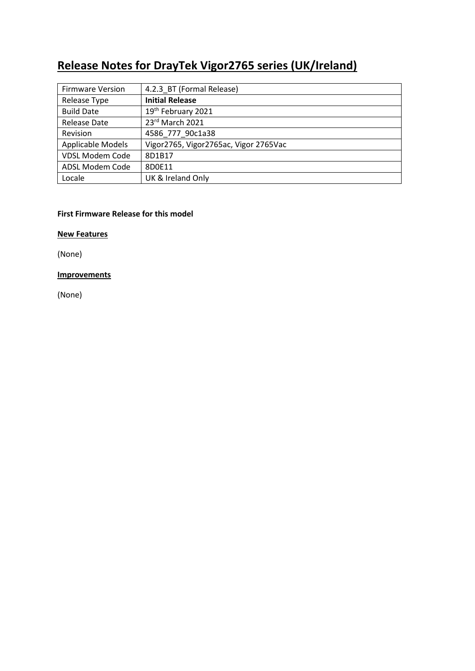# **Release Notes for DrayTek Vigor2765 series (UK/Ireland)**

| <b>Firmware Version</b> | 4.2.3_BT (Formal Release)             |
|-------------------------|---------------------------------------|
| Release Type            | <b>Initial Release</b>                |
| <b>Build Date</b>       | 19th February 2021                    |
| Release Date            | 23rd March 2021                       |
| Revision                | 4586 777 90c1a38                      |
| Applicable Models       | Vigor2765, Vigor2765ac, Vigor 2765Vac |
| <b>VDSL Modem Code</b>  | 8D1B17                                |
| ADSL Modem Code         | 8D0E11                                |
| Locale                  | UK & Ireland Only                     |

## **First Firmware Release for this model**

**New Features**

(None)

# **Improvements**

(None)